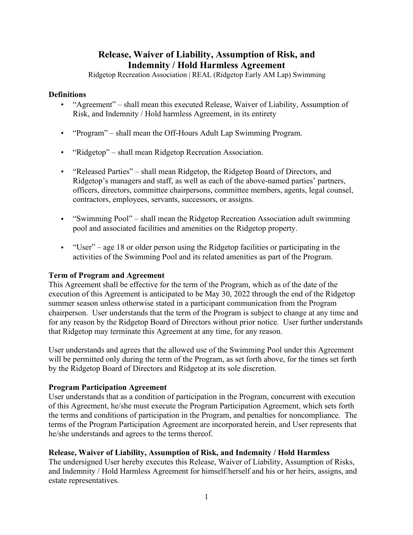# **Release, Waiver of Liability, Assumption of Risk, and Indemnity / Hold Harmless Agreement**

Ridgetop Recreation Association | REAL (Ridgetop Early AM Lap) Swimming

### **Definitions**

- "Agreement" shall mean this executed Release, Waiver of Liability, Assumption of Risk, and Indemnity / Hold harmless Agreement, in its entirety
- "Program" shall mean the Off-Hours Adult Lap Swimming Program.
- "Ridgetop" shall mean Ridgetop Recreation Association.
- "Released Parties" shall mean Ridgetop, the Ridgetop Board of Directors, and Ridgetop's managers and staff, as well as each of the above-named parties' partners, officers, directors, committee chairpersons, committee members, agents, legal counsel, contractors, employees, servants, successors, or assigns.
- "Swimming Pool" shall mean the Ridgetop Recreation Association adult swimming pool and associated facilities and amenities on the Ridgetop property.
- "User" age 18 or older person using the Ridgetop facilities or participating in the activities of the Swimming Pool and its related amenities as part of the Program.

### **Term of Program and Agreement**

This Agreement shall be effective for the term of the Program, which as of the date of the execution of this Agreement is anticipated to be May 30, 2022 through the end of the Ridgetop summer season unless otherwise stated in a participant communication from the Program chairperson. User understands that the term of the Program is subject to change at any time and for any reason by the Ridgetop Board of Directors without prior notice. User further understands that Ridgetop may terminate this Agreement at any time, for any reason.

User understands and agrees that the allowed use of the Swimming Pool under this Agreement will be permitted only during the term of the Program, as set forth above, for the times set forth by the Ridgetop Board of Directors and Ridgetop at its sole discretion.

### **Program Participation Agreement**

User understands that as a condition of participation in the Program, concurrent with execution of this Agreement, he/she must execute the Program Participation Agreement, which sets forth the terms and conditions of participation in the Program, and penalties for noncompliance. The terms of the Program Participation Agreement are incorporated herein, and User represents that he/she understands and agrees to the terms thereof.

## **Release, Waiver of Liability, Assumption of Risk, and Indemnity / Hold Harmless**

The undersigned User hereby executes this Release, Waiver of Liability, Assumption of Risks, and Indemnity / Hold Harmless Agreement for himself/herself and his or her heirs, assigns, and estate representatives.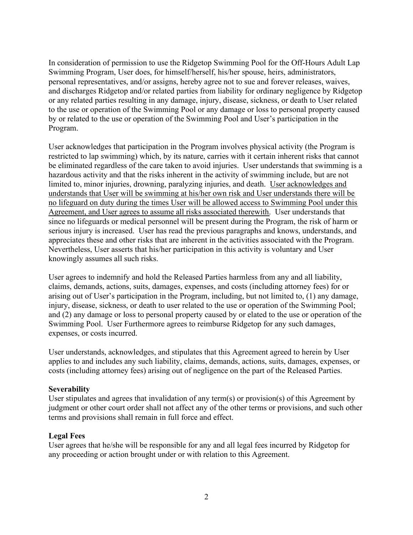In consideration of permission to use the Ridgetop Swimming Pool for the Off-Hours Adult Lap Swimming Program, User does, for himself/herself, his/her spouse, heirs, administrators, personal representatives, and/or assigns, hereby agree not to sue and forever releases, waives, and discharges Ridgetop and/or related parties from liability for ordinary negligence by Ridgetop or any related parties resulting in any damage, injury, disease, sickness, or death to User related to the use or operation of the Swimming Pool or any damage or loss to personal property caused by or related to the use or operation of the Swimming Pool and User's participation in the Program.

User acknowledges that participation in the Program involves physical activity (the Program is restricted to lap swimming) which, by its nature, carries with it certain inherent risks that cannot be eliminated regardless of the care taken to avoid injuries. User understands that swimming is a hazardous activity and that the risks inherent in the activity of swimming include, but are not limited to, minor injuries, drowning, paralyzing injuries, and death. User acknowledges and understands that User will be swimming at his/her own risk and User understands there will be no lifeguard on duty during the times User will be allowed access to Swimming Pool under this Agreement, and User agrees to assume all risks associated therewith. User understands that since no lifeguards or medical personnel will be present during the Program, the risk of harm or serious injury is increased. User has read the previous paragraphs and knows, understands, and appreciates these and other risks that are inherent in the activities associated with the Program. Nevertheless, User asserts that his/her participation in this activity is voluntary and User knowingly assumes all such risks.

User agrees to indemnify and hold the Released Parties harmless from any and all liability, claims, demands, actions, suits, damages, expenses, and costs (including attorney fees) for or arising out of User's participation in the Program, including, but not limited to, (1) any damage, injury, disease, sickness, or death to user related to the use or operation of the Swimming Pool; and (2) any damage or loss to personal property caused by or elated to the use or operation of the Swimming Pool. User Furthermore agrees to reimburse Ridgetop for any such damages, expenses, or costs incurred.

User understands, acknowledges, and stipulates that this Agreement agreed to herein by User applies to and includes any such liability, claims, demands, actions, suits, damages, expenses, or costs (including attorney fees) arising out of negligence on the part of the Released Parties.

### **Severability**

User stipulates and agrees that invalidation of any term(s) or provision(s) of this Agreement by judgment or other court order shall not affect any of the other terms or provisions, and such other terms and provisions shall remain in full force and effect.

#### **Legal Fees**

User agrees that he/she will be responsible for any and all legal fees incurred by Ridgetop for any proceeding or action brought under or with relation to this Agreement.